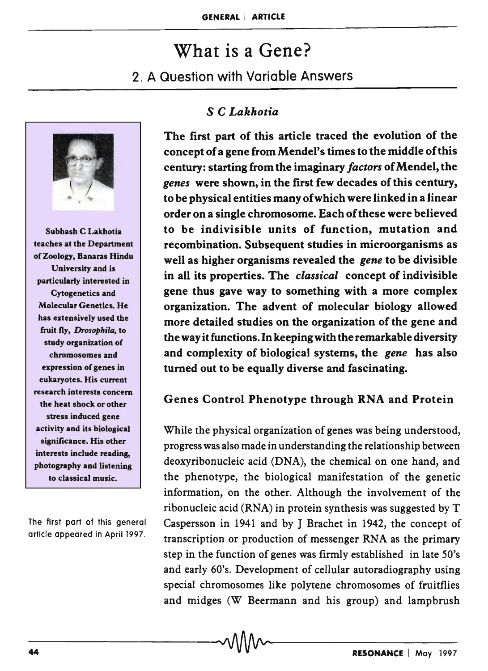# What is a Gene? 2. A Question with Variable Answers



Subhash C Lakhotia teaches at the Department of Zoology, Banaras Hindu University and is particularly interested in Cytogenetics and Molecular Genetics. He has extensively used the fruit fly, *Drosophila,* to study organization of chromosomes and expression of genes in eukaryotes. His current research interests concern the heat shock or other stress induced gene activity and its biological significance. His other interests include reading, photography and listening to classical music.

The first part of this general article appeared in April 1997.

## S C *Lakhotia*

The first part of this article traced the evolution of the concept of a gene from Mendel's times to the middle of this century: starting from the imaginary *factors* of Mendel, the *genes* were shown, in the first few decades of this century, to be physical entities many of which were linked in a linear order on a single chromosome. Each of these were believed to be indivisible units of function, mutation and recombination. Subsequent studies in microorganisms as well as higher organisms revealed the *gene* to be divisible in all its properties. The *classical* concept of indivisible gene thus gave way to something with a more complex organization. The advent of molecular biology allowed more detailed studies on the organization of the gene and the way it functions. In keeping with the remarkable diversity and complexity of biological systems, the *gene* has also turned out to be equally diverse and fascinating.

## Genes Control Phenotype through RNA and Protein

While the physical organization of genes was being understood, progress was also made in understanding the relationship between deoxyribonucleic acid (DNA), the chemical on one hand, and the phenotype, the biological manifestation of the genetic information, on the other. Although the involvement of the ribonucleic acid (RNA) in protein synthesis was suggested by T Caspersson in 1941 and by J Brachet in 1942, the concept of transcription or production of messenger RNA as the primary step in the function of genes was firmly established in late 50's and early 60's. Development of cellular autoradiography using special chromosomes like polytene chromosomes of fruitflies and midges (W Beermann and his group) and lampbrush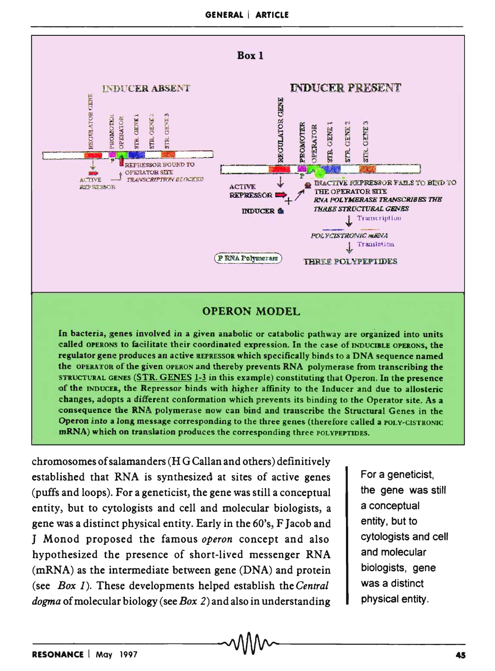

## OPERON MODEL

In bacteria, genes involved in a given anabolic or catabolic pathway are organized into units called OPERONS to facilitate their coordinated expression. In the case of INDUCIBLE OPERONS, the regulator gene produces an active REPRESSOR which specifically binds to a DNA sequence named the OPERATOR of the given OPERON and thereby prevents RNA polymerase from transcribing the STRUCTURAL GENES (STR. GENES 1-3 in this example) constituting that Operon. In the presence of the INDUCER, the Repressor binds with higher affinity to the Inducer and due to allosteric changes, adopts a different conformation which prevents its binding to the Operator site. As a consequence the RNA polymerase now can bind and transcribe the Structural Genes in the Operon into a long message corresponding to the three genes (therefore called a POLY-CISTRONIC mRNA) which on translation produces the corresponding three POLYPEPTIDES.

chromosomes of salamanders (H G Callan and others) definitively established that RNA is synthesized at sites of active genes (puffs and loops). For a geneticist, the gene was still a conceptual entity, but to cytologists and cell and molecular biologists, a gene was a distinct physical entity. Early in the 60's, F Jacob and J Monod proposed the famous *operon* concept and also hypothesized the presence of short-lived messenger RNA (mRNA) as the intermediate between gene (DNA) and protein (see *Box* 1). These developments helped establish the *Central dogma* of molecular biology (see *Box* 2) and also in understanding

For a geneticist, the gene was still a conceptual entity, but to cytologists and cell and molecular biologists, gene was a distinct physical entity.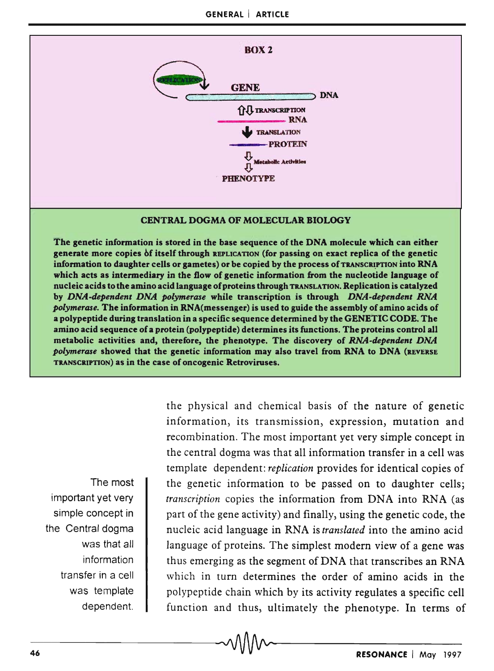

#### CENTRAL DOGMA OF MOLECULAR BIOLOGY

The genetic information is stored in the base sequence of the DNA molecule which can either generate more copies bf itself through REPLICATION (for passing on exact replica of the genetic information to daughter cells or gametes) or be copied by the process of TRANSCRIPTION into RNA which acts as intermediary in the flow of genetic information from the nucleotide language of nucleic acids to the amino acid language of proteins through TRANSLATION. Replication is catalyzed by *DNA-dependent DNA polymerase* while transcription is through *DNA-dependent RNA polymerase.* The information in RNA(messenger) is used to guide the assembly of amino acids of a polypeptide during translation in a specific sequence determined by the GENETIC CODE. The amino acid sequence of a protein (polypeptide) determines its functions. The proteins control all metabolic activities and, therefore, the phenotype. The discovery of *RNA-dependent DNA polymerase* showed that the genetic information may also travel from RNA to DNA (REVERSE TRANSCRIPTION) as in the case of oncogenic Retroviruses.

The most important yet very simple concept in the Central dogma was that all information transfer in a cell was template dependent.

the physical and chemical basis of the nature of genetic information, its transmission, expression, mutation and recombination. The most important yet very simple concept in the central dogma was that all information transfer in a cell was template dependent: *replication* provides for identical copies of the genetic information to be passed on to daughter cells; *transcription* copies the information from DNA into RNA (as part of the gene activity) and finally, using the genetic code, the nucleic acid language in RNA is *translated* into the amino acid language of proteins. The simplest modern view of a gene was thus emerging as the segment of DNA that transcribes an RNA which in turn determines the order of amino acids in the polypeptide chain which by its activity regulates a specific cell function and thus, ultimately the phenotype. In terms of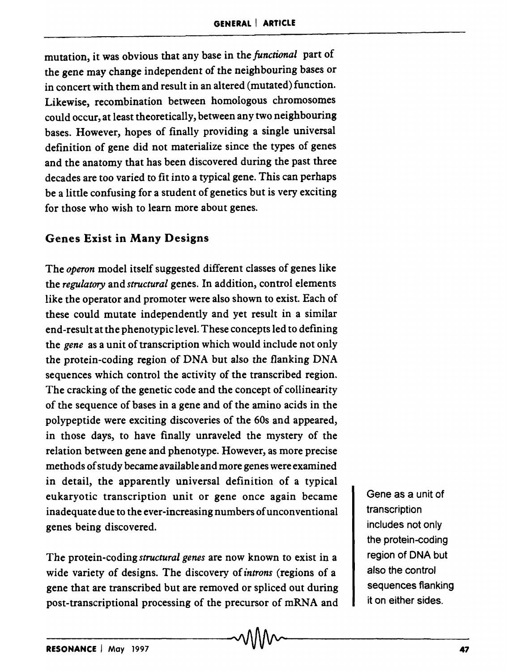mutation, it was obvious that any base in the *functional* part of the gene may change independent of the neighbouring bases or in concert with them and result in an altered (mutated) function. Likewise, recombination between homologous chromosomes could occur, at least theoretically, between any two neighbouring bases. However, hopes of finally providing a single universal definition of gene did not materialize since the types of genes and the anatomy that has been discovered during the past three decades are too varied to fit into a typical gene. This can perhaps be a little confusing for a student of genetics but is very exciting for those who wish to learn more about genes.

## Genes Exist in Many Designs

The *operon* model itself suggested different classes of genes like the *regulatory* and *structural* genes. In addition, control elements like the operator and promoter were also shown to exist. Each of these could mutate independently and yet result in a similar end-result at the phenotypic level. These concepts led to defining the *gene* as a unit of transcription which would include not only the protein-coding region of DNA but also the flanking DNA sequences which control the activity of the transcribed region. The cracking of the genetic code and the concept of collinearity of the sequence of bases in a gene and of the amino acids in the polypeptide were exciting discoveries of the 60s and appeared, in those days, to have finally unraveled the mystery of the relation between gene and phenotype. However, as more precise methods of study became available and more genes were examined in detail, the apparently universal definition of a typical eukaryotic transcription unit or gene once again became inadequate due to the ever-increasing numbers of unconventional genes being discovered.

The protein-coding *structural genes* are now known to exist in a wide variety of designs. The discovery of *introns* (regions of a gene that are transcribed but are removed or spliced out during post-transcriptional processing of the precursor of mRNA and

Gene as a unit of transcription includes not only the protein-coding region of DNA but also the control sequences flanking it on either sides.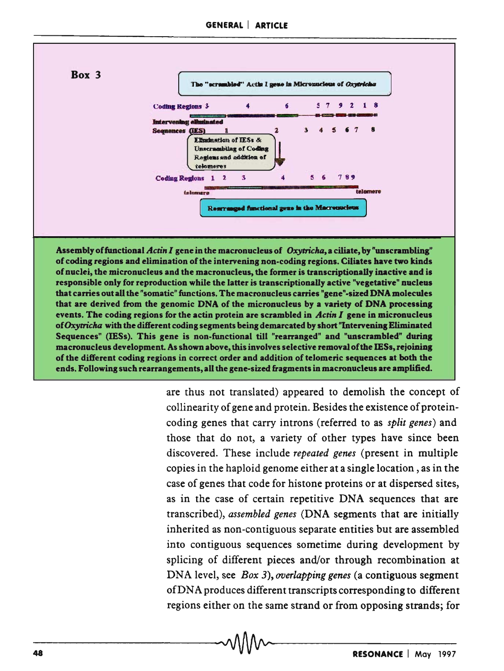

of coding regions and elimination of the intervening non-coding regions. Ciliates have two kinds of nuclei, the micronucleus and the macronucleus, the former is transcriptionally inactive and is responsible only for reproduction while the latter is transcriptionally active "vegetative" nucleus that carries out all the "somatic" functions. The macronucleus carries "gene"-sized DNA molecules that are derived from the genomic DNA of the micronucleus by a variety of DNA processing events. The coding regions for the actin protein are scrambled in *Actin 1* gene in micronucleus of Oxytricha with the different coding segments being demarcated by short "Intervening Eliminated Sequences" (lESs). This gene is non-functional till "rearranged" and "unscrambled" during macronucleus development. As shown above, this involves selective removal of the lESs, rejoining of the different coding regions in correct order and addition of telomeric sequences at both the ends. Following such rearrangements, all the gene-sized fragments in macronucleus are amplified.

> are thus not translated) appeared to demolish the concept of collinearity of gene and protein. Besides the existence of proteincoding genes that carry introns (referred to as *split genes)* and those that do not, a variety of other types have since been discovered. These include *repeated genes* (present in multiple copies in the haploid genome either at a single location, as in the case of genes that code for histone proteins or at dispersed sites, as in the case of certain repetitive DNA sequences that are transcribed), *assembled genes* (DNA segments that are initially inherited as non-contiguous separate entities but are assembled into contiguous sequences sometime during development by splicing of different pieces and/or through recombination at DNA level, see *Box* 3), *overlapping genes* (a contiguous segment ofDN A produces different transcripts corresponding to different regions either on the same strand or from opposing strands; for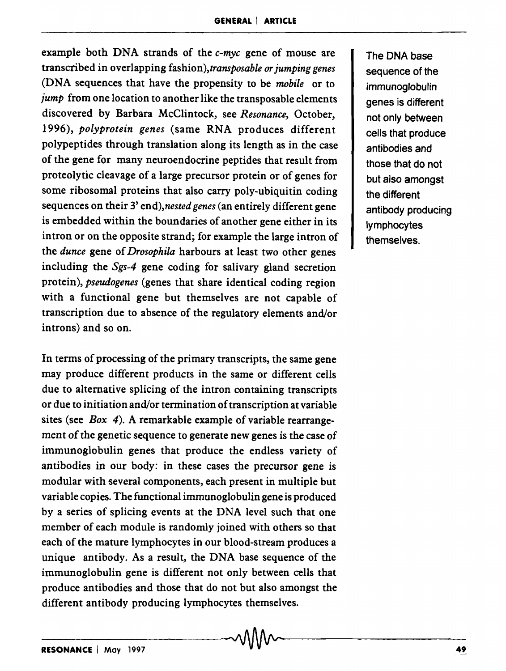example both DNA strands of the *c-myc* gene of mouse are transcribed in overlapping *fashion),transposable or jumping genes*  (DNA sequences that have the propensity to be *mobile* or to *jump* from one location to another like the transposable elements discovered by Barbara McClintock, see *Resonance,* October, 1996), *polyprotein genes* (same RNA produces different polypeptides through translation along its length as in the case of the gene for many neuroendocrine peptides that result from proteolytic cleavage of a large precursor protein or of genes for some ribosomal proteins that also carry poly-ubiquitin coding sequences on their 3' *end),nested genes* (an entirely different gene is embedded within the boundaries of another gene either in its intron or on the opposite strand; for example the large intron of the *dunce* gene of *Drosophila* harbours at least two other genes including the *Sgs-4* gene coding for salivary gland secretion protein), *pseudogenes* (genes that share identical coding region with a functional gene but themselves are not capable of transcription due to absence of the regulatory elements and/or introns) and so on.

In terms of processing of the primary transcripts, the same gene may produce different products in the same or different cells due to alternative splicing of the intron containing transcripts or due to initiation and/or termination of transcription at variable sites (see *Box* 4). A remarkable example of variable rearrangement of the genetic sequence to generate new genes is the case of immunoglobulin genes that produce the endless variety of antibodies in our body: in these cases the precursor gene is modular with several components, each present in multiple but variable copies. The functional immunoglobulin gene is produced by a series of splicing events at the DNA level such that one member of each module is randomly joined with others so that each of the mature lymphocytes in our blood-stream produces a unique antibody. As a result, the DNA base sequence of the immunoglobulin gene is different not only between cells that produce antibodies and those that do not but also amongst the different antibody producing lymphocytes themselves.

The DNA base sequence of the immunoglobulin genes is different not only between cells that produce antibodies and those that do not but also amongst the different antibody producing lymphocytes themselves.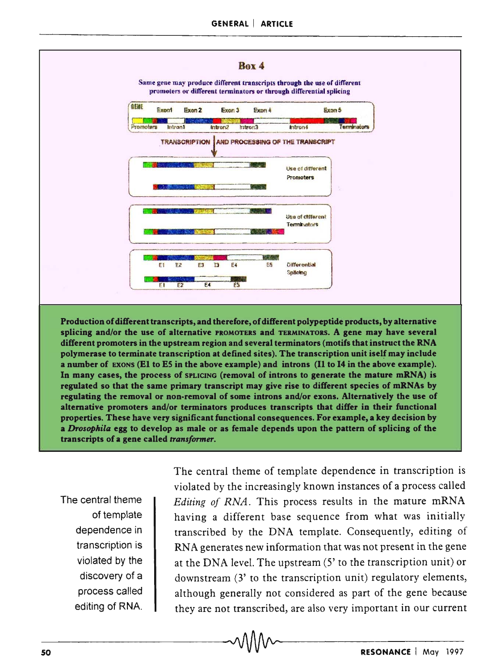

Production of different transcripts, and therefore, of different polypeptide products, by alternative splicing and/or the use of alternative PROMOTERS and TERMINATORS. A gene may have several different promoters in the upstream region and several terminators (motifs that instruct the RNA polymerase to terminate transcription at defined sites). The transcription unit iselfmay include a number of EXONS (£1 to ES in the above example) and introns (11 to 14 in the above example). In many cases, the process of SPLICING (removal of introns to generate the mature mRNA) is regulated so that the same primary transcript may give rise to different species of mRNAs by regulating the removal or non-removal of some introns and/or exons. Alternatively the use of alternative promoters and/or terminators produces transcripts that differ in their functional properties. These have very significant functional consequences. For example, a key decision by a *Drosophila* egg to develop as male or as female depends upon the pattern of splicing of the transcripts of a gene called *transformer.* 

The central theme of template dependence in transcription is violated by the discovery of a process called editing of RNA.

The central theme of template dependence in transcription is violated by the increasingly known instances of a process called *Editing of RNA.* This process results in the mature mRNA having a different base sequence from what was initially transcribed by the DNA template. Consequently, editing of RNA generates new information that was not present in the gene at the DNA level. The upstream (5' to the transcription unit) or downstream (3' to the transcription unit) regulatory elements, although generally not considered as part of the gene because they are not transcribed, are also very important in our current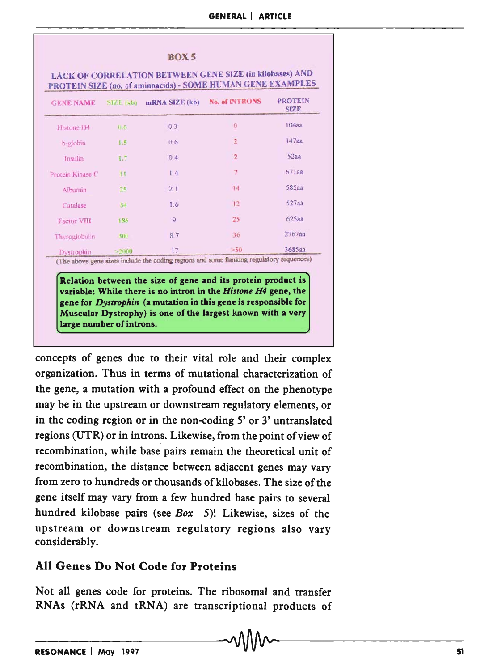| <b>BOX5</b><br>LACK OF CORRELATION BETWEEN GENE SIZE (in kilobases) AND<br>PROTEIN SIZE (no. of aminoacids) - SOME HUMAN GENE EXAMPLES |              |              |                   |              |
|----------------------------------------------------------------------------------------------------------------------------------------|--------------|--------------|-------------------|--------------|
|                                                                                                                                        |              |              |                   |              |
| Histone H4                                                                                                                             | 0.6          | 03           | ö                 | 104a         |
| b-globin                                                                                                                               | 1.5          | 0.6          | $\overline{2}$    | 147аа        |
| Insulin                                                                                                                                | 1.7          | 0.4          | $\overline{2}$    | 52aa         |
| Protein Kinase C                                                                                                                       | $\mathbb{I}$ | 14           | $\overline{\tau}$ | 671aa        |
| Albumin                                                                                                                                | 25           | 2.1          | 14                | <b>585aa</b> |
| Catalase                                                                                                                               | 34           | 16           | 12                | 527aa        |
| <b>Factor VIII</b>                                                                                                                     | 186          | $\mathbf{Q}$ | 25                | 625aa        |
| Thyroglobulin                                                                                                                          | 300          | 8.7          | 36                | 2767aa       |
| <b>Dystrophin</b>                                                                                                                      | >2000        | 17           | >50               | 3685аа       |

Relation between the size of gene and its protein product is variable: While there is no intron in the *Histone H4* gene, the gene for *Dystrophin* (a mutation in this gene is responsible for Muscular Dystrophy) is one of the largest known with a very large number of introns.

concepts of genes due to their vital role and their complex organization. Thus in terms of mutational characterization of the gene, a mutation with a profound effect on the phenotype may be in the upstream or downstream regulatory elements, or in the coding region or in the non-coding 5' or 3' untranslated regions (UTR) or in introns. Likewise, from the point of view of recombination, while base pairs remain the theoretical unit of recombination, the distance between adjacent genes may vary from zero to hundreds or thousands of kilobases. The size of the gene itself may vary from a few hundred base pairs to several hundred kilobase pairs (see *Box* 5)! Likewise, sizes of the upstream or downstream regulatory regions also vary considerably.

## All Genes Do Not Code for Proteins

Not all genes code for proteins. The ribosomal and transfer RNAs (rRNA and tRNA) are transcriptional products of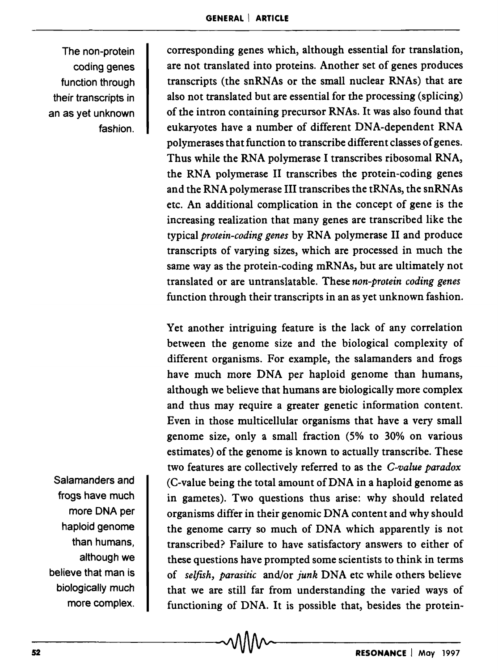The non-protein coding genes function through their transcripts in an as yet unknown fashion.

corresponding genes which, although essential for translation, are not translated into proteins. Another set of genes produces transcripts (the snRNAs or the small nuclear RNAs) that are also not translated but are essential for the processing (splicing) of the intron containing precursor RNAs. It was also found that eukaryotes have a number of different DNA-dependent RNA polymerases that function to transcribe different classes of genes. Thus while the RNA polymerase I transcribes ribosomal RNA, the RNA polymerase II transcribes the protein-coding genes and the RNA polymerase III transcribes the tRNAs, the snRNAs etc. An additional complication in the concept of gene is the increasing realization that many genes are transcribed like the typical *protein-coding genes* by RNA polymerase II and produce transcripts of varying sizes, which are processed in much the same way as the protein-coding mRNAs, but are ultimately not translated or are untranslatable. These *non-protein coding genes*  function through their transcripts in an as yet unknown fashion.

Yet another intriguing feature is the lack of any correlation between the genome size and the biological complexity of different organisms. For example, the salamanders and frogs have much more DNA per haploid genome than humans, although we believe that humans are biologically more complex and thus may require a greater genetic information content. Even in those multicellular organisms that have a very small genome size, only a small fraction (5% to 30% on various estimates) of the genome is known to actually transcribe. These two features are collectively referred to as the *C-value paradox*  (C-value being the total amount of DNA in a haploid genome as in gametes). Two questions thus arise: why should related organisms differ in their genomic DNA content and why should the genome carry so much of DNA which apparently is not transcribed? Failure to have satisfactory answers to either of these questions have prompted some scientists to think in terms of *selfish, parasitic* and/or *junk* DNA etc while others believe that we are still far from understanding the varied ways of functioning of DNA. It is possible that, besides the protein-

Salamanders and frogs have much more DNA per haploid genome than humans, although we believe that man is biologically much more complex.